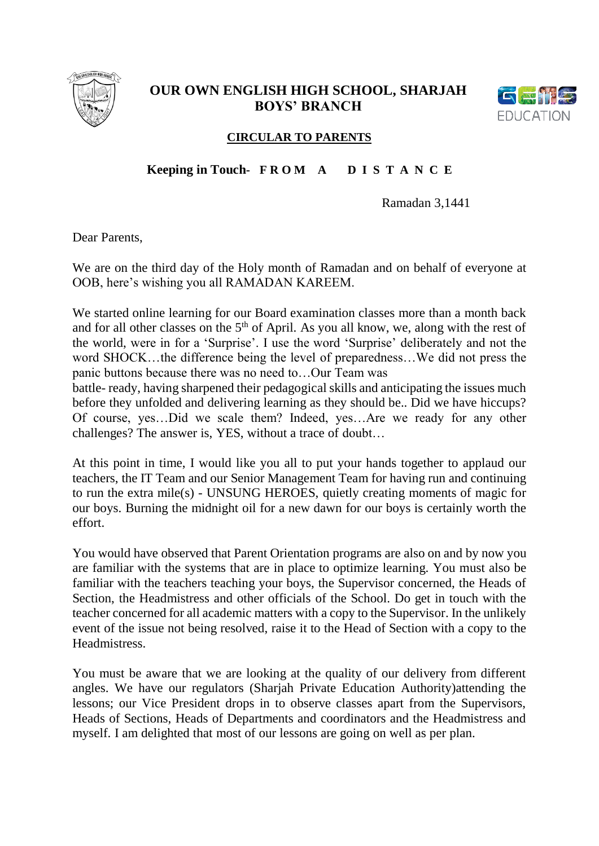

## **OUR OWN ENGLISH HIGH SCHOOL, SHARJAH BOYS' BRANCH**



## **CIRCULAR TO PARENTS**

## **Keeping in Touch- F R O M A D I S T A N C E**

Ramadan 3,1441

Dear Parents,

We are on the third day of the Holy month of Ramadan and on behalf of everyone at OOB, here's wishing you all RAMADAN KAREEM.

We started online learning for our Board examination classes more than a month back and for all other classes on the  $5<sup>th</sup>$  of April. As you all know, we, along with the rest of the world, were in for a 'Surprise'. I use the word 'Surprise' deliberately and not the word SHOCK…the difference being the level of preparedness…We did not press the panic buttons because there was no need to…Our Team was

battle- ready, having sharpened their pedagogical skills and anticipating the issues much before they unfolded and delivering learning as they should be.. Did we have hiccups? Of course, yes…Did we scale them? Indeed, yes…Are we ready for any other challenges? The answer is, YES, without a trace of doubt…

At this point in time, I would like you all to put your hands together to applaud our teachers, the IT Team and our Senior Management Team for having run and continuing to run the extra mile(s) - UNSUNG HEROES, quietly creating moments of magic for our boys. Burning the midnight oil for a new dawn for our boys is certainly worth the effort.

You would have observed that Parent Orientation programs are also on and by now you are familiar with the systems that are in place to optimize learning. You must also be familiar with the teachers teaching your boys, the Supervisor concerned, the Heads of Section, the Headmistress and other officials of the School. Do get in touch with the teacher concerned for all academic matters with a copy to the Supervisor. In the unlikely event of the issue not being resolved, raise it to the Head of Section with a copy to the Headmistress.

You must be aware that we are looking at the quality of our delivery from different angles. We have our regulators (Sharjah Private Education Authority)attending the lessons; our Vice President drops in to observe classes apart from the Supervisors, Heads of Sections, Heads of Departments and coordinators and the Headmistress and myself. I am delighted that most of our lessons are going on well as per plan.